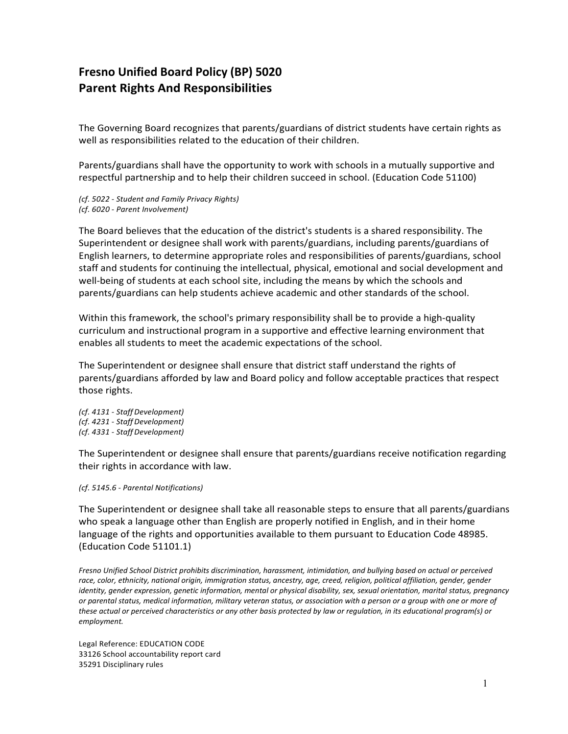## **Fresno Unified Board Policy (BP) 5020 Parent Rights And Responsibilities**

The Governing Board recognizes that parents/guardians of district students have certain rights as well as responsibilities related to the education of their children.

Parents/guardians shall have the opportunity to work with schools in a mutually supportive and respectful partnership and to help their children succeed in school. (Education Code 51100)

*(cf. 5022 - Student and Family Privacy Rights) (cf. 6020 - Parent Involvement)*

The Board believes that the education of the district's students is a shared responsibility. The Superintendent or designee shall work with parents/guardians, including parents/guardians of English learners, to determine appropriate roles and responsibilities of parents/guardians, school staff and students for continuing the intellectual, physical, emotional and social development and well-being of students at each school site, including the means by which the schools and parents/guardians can help students achieve academic and other standards of the school.

Within this framework, the school's primary responsibility shall be to provide a high-quality curriculum and instructional program in a supportive and effective learning environment that enables all students to meet the academic expectations of the school.

The Superintendent or designee shall ensure that district staff understand the rights of parents/guardians afforded by law and Board policy and follow acceptable practices that respect those rights.

*(cf. 4131 - StaffDevelopment) (cf. 4231 - StaffDevelopment) (cf. 4331 - StaffDevelopment)*

The Superintendent or designee shall ensure that parents/guardians receive notification regarding their rights in accordance with law.

*(cf. 5145.6 - Parental Notifications)*

The Superintendent or designee shall take all reasonable steps to ensure that all parents/guardians who speak a language other than English are properly notified in English, and in their home language of the rights and opportunities available to them pursuant to Education Code 48985. (Education Code 51101.1)

*Fresno Unified School District prohibits discrimination, harassment, intimidation, and bullying based on actual or perceived*  race, color, ethnicity, national origin, immigration status, ancestry, age, creed, religion, political affiliation, gender, gender *identity, gender expression, genetic information, mental or physical disability, sex, sexual orientation, marital status, pregnancy or parental status, medical information, military veteran status, or association with a person or a group with one or more of these actual or perceived characteristics or any other basis protected by law or regulation, in its educational program(s) or employment.*

Legal Reference: EDUCATION CODE 33126 School accountability report card 35291 Disciplinary rules